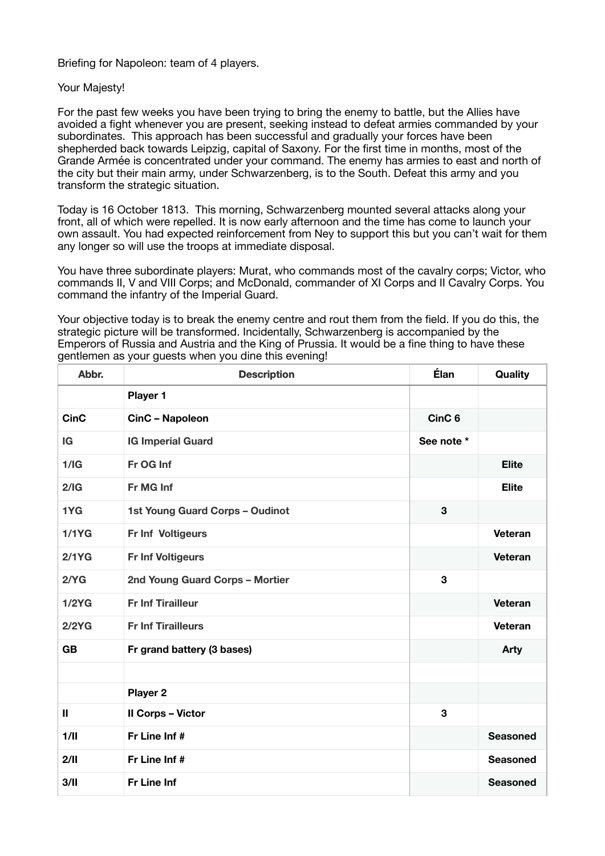Briefing for Napoleon: team of 4 players.

## Your Majesty!

For the past few weeks you have been trying to bring the enemy to battle, but the Allies have avoided a fight whenever you are present, seeking instead to defeat armies commanded by your subordinates. This approach has been successful and gradually your forces have been shepherded back towards Leipzig, capital of Saxony. For the first time in months, most of the Grande Armée is concentrated under your command. The enemy has armies to east and north of the city but their main army, under Schwarzenberg, is to the South. Defeat this army and you transform the strategic situation.

Today is 16 October 1813. This morning, Schwarzenberg mounted several attacks along your front, all of which were repelled. It is now early afternoon and the time has come to launch your own assault. You had expected reinforcement from Ney to support this but you can't wait for them any longer so will use the troops at immediate disposal.

You have three subordinate players: Murat, who commands most of the cavalry corps; Victor, who commands II, V and VIII Corps; and McDonald, commander of XI Corps and II Cavalry Corps. You command the infantry of the Imperial Guard.

Your objective today is to break the enemy centre and rout them from the field. If you do this, the strategic picture will be transformed. Incidentally, Schwarzenberg is accompanied by the Emperors of Russia and Austria and the King of Prussia. It would be a fine thing to have these gentlemen as your guests when you dine this evening!

| Abbr.         | <b>Description</b>                     | Élan              | Quality         |
|---------------|----------------------------------------|-------------------|-----------------|
|               | Player 1                               |                   |                 |
| <b>CinC</b>   | CinC - Napoleon                        | CinC <sub>6</sub> |                 |
| IG            | <b>IG Imperial Guard</b>               | See note *        |                 |
| 1/IG          | Fr OG Inf                              |                   | <b>Elite</b>    |
| 2/IG          | Fr MG Inf                              |                   | <b>Elite</b>    |
| 1YG           | <b>1st Young Guard Corps - Oudinot</b> | 3                 |                 |
| 1/1YG         | Fr Inf Voltigeurs                      |                   | Veteran         |
| 2/1YG         | <b>Fr Inf Voltigeurs</b>               |                   | Veteran         |
| 2/YG          | 2nd Young Guard Corps - Mortier        | 3                 |                 |
| 1/2YG         | <b>Fr Inf Tirailleur</b>               |                   | Veteran         |
| 2/2YG         | <b>Fr Inf Tirailleurs</b>              |                   | Veteran         |
| <b>GB</b>     | Fr grand battery (3 bases)             |                   | Arty            |
|               |                                        |                   |                 |
|               | Player 2                               |                   |                 |
| $\mathbf{II}$ | <b>II Corps - Victor</b>               | 3                 |                 |
| 1/II          | Fr Line Inf #                          |                   | <b>Seasoned</b> |
| 2/11          | Fr Line Inf #                          |                   | <b>Seasoned</b> |
| 3/II          | <b>Fr Line Inf</b>                     |                   | <b>Seasoned</b> |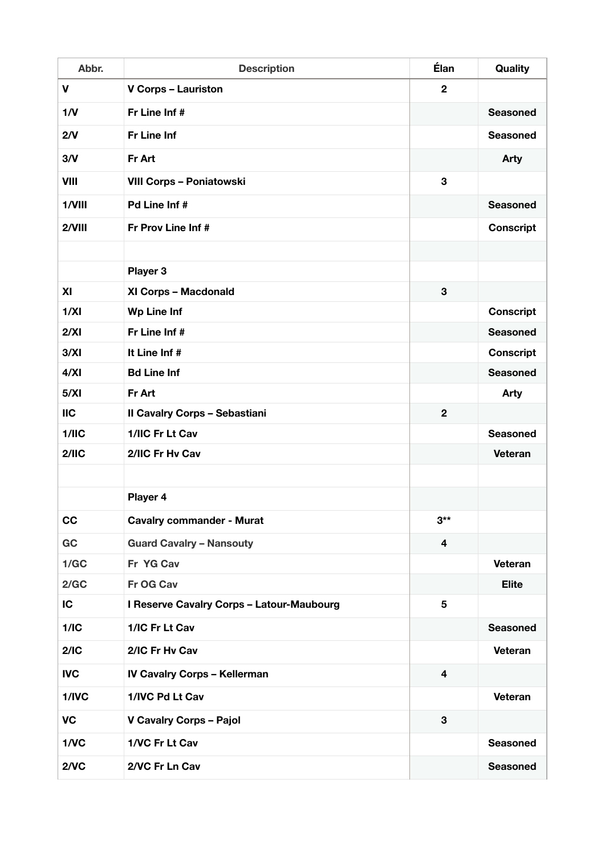| Abbr.      | <b>Description</b>                               | Élan                    | Quality          |
|------------|--------------------------------------------------|-------------------------|------------------|
| V          | <b>V Corps - Lauriston</b>                       | $\overline{2}$          |                  |
| 1/N        | Fr Line Inf #                                    |                         | <b>Seasoned</b>  |
| 2/V        | <b>Fr Line Inf</b>                               |                         | <b>Seasoned</b>  |
| 3/N        | Fr Art                                           |                         | <b>Arty</b>      |
| VIII       | <b>VIII Corps - Poniatowski</b>                  | $\mathbf 3$             |                  |
| 1/VIII     | <b>Pd Line Inf#</b>                              |                         | <b>Seasoned</b>  |
| 2/VIII     | Fr Prov Line Inf #                               |                         | <b>Conscript</b> |
|            |                                                  |                         |                  |
|            | Player 3                                         |                         |                  |
| XI         | XI Corps - Macdonald                             | 3                       |                  |
| 1/XI       | <b>Wp Line Inf</b>                               |                         | <b>Conscript</b> |
| 2/XI       | Fr Line Inf #                                    |                         | <b>Seasoned</b>  |
| 3/XI       | It Line Inf #                                    |                         | <b>Conscript</b> |
| 4/XI       | <b>Bd Line Inf</b>                               |                         | <b>Seasoned</b>  |
| 5/XI       | Fr Art                                           |                         | <b>Arty</b>      |
| <b>IIC</b> | <b>Il Cavalry Corps - Sebastiani</b>             | $\mathbf{2}$            |                  |
| 1/1IC      | 1/IIC Fr Lt Cav                                  |                         | <b>Seasoned</b>  |
| 2/11C      | 2/IIC Fr Hv Cav                                  |                         | <b>Veteran</b>   |
|            |                                                  |                         |                  |
|            | Player 4                                         |                         |                  |
| cc         | <b>Cavalry commander - Murat</b>                 | $3***$                  |                  |
| GC         | <b>Guard Cavalry - Nansouty</b>                  | 4                       |                  |
| 1/GC       | Fr YG Cav                                        |                         | Veteran          |
| 2/GC       | Fr OG Cav                                        |                         | <b>Elite</b>     |
| IC         | <b>I Reserve Cavalry Corps - Latour-Maubourg</b> | 5                       |                  |
| 1/IC       | 1/IC Fr Lt Cav                                   |                         | <b>Seasoned</b>  |
| 2/IC       | 2/IC Fr Hv Cav                                   |                         | Veteran          |
| <b>IVC</b> | <b>IV Cavalry Corps - Kellerman</b>              | $\overline{\mathbf{4}}$ |                  |
| 1/IVC      | 1/IVC Pd Lt Cav                                  |                         | Veteran          |
| <b>VC</b>  | <b>V Cavalry Corps - Pajol</b>                   | 3                       |                  |
| 1/VC       | 1/VC Fr Lt Cav                                   |                         | <b>Seasoned</b>  |
| 2/VC       | 2/VC Fr Ln Cav                                   |                         | <b>Seasoned</b>  |